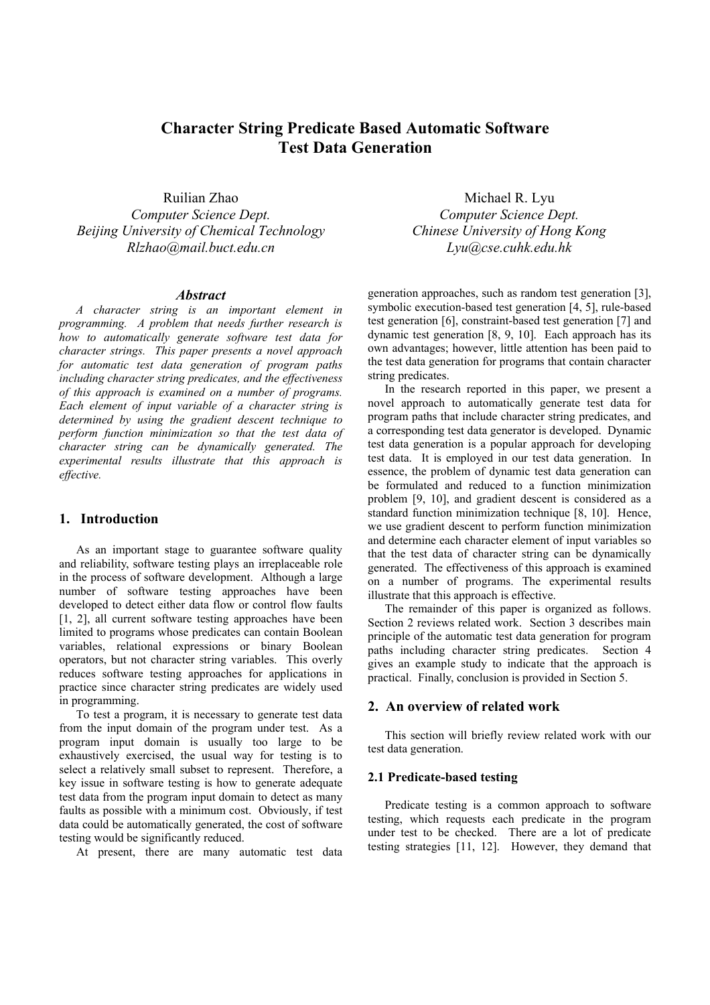# **Character String Predicate Based Automatic Software Test Data Generation**

Ruilian Zhao *Computer Science Dept. Beijing University of Chemical Technology Rlzhao@mail.buct.edu.cn* 

### *Abstract*

*A character string is an important element in programming. A problem that needs further research is how to automatically generate software test data for character strings. This paper presents a novel approach for automatic test data generation of program paths including character string predicates, and the effectiveness of this approach is examined on a number of programs. Each element of input variable of a character string is determined by using the gradient descent technique to perform function minimization so that the test data of character string can be dynamically generated. The experimental results illustrate that this approach is effective.* 

# **1. Introduction**

As an important stage to guarantee software quality and reliability, software testing plays an irreplaceable role in the process of software development. Although a large number of software testing approaches have been developed to detect either data flow or control flow faults [1, 2], all current software testing approaches have been limited to programs whose predicates can contain Boolean variables, relational expressions or binary Boolean operators, but not character string variables. This overly reduces software testing approaches for applications in practice since character string predicates are widely used in programming.

To test a program, it is necessary to generate test data from the input domain of the program under test. As a program input domain is usually too large to be exhaustively exercised, the usual way for testing is to select a relatively small subset to represent. Therefore, a key issue in software testing is how to generate adequate test data from the program input domain to detect as many faults as possible with a minimum cost. Obviously, if test data could be automatically generated, the cost of software testing would be significantly reduced.

At present, there are many automatic test data

Michael R. Lyu *Computer Science Dept. Chinese University of Hong Kong Lyu@cse.cuhk.edu.hk* 

generation approaches, such as random test generation [3], symbolic execution-based test generation [4, 5], rule-based test generation [6], constraint-based test generation [7] and dynamic test generation [8, 9, 10]. Each approach has its own advantages; however, little attention has been paid to the test data generation for programs that contain character string predicates.

In the research reported in this paper, we present a novel approach to automatically generate test data for program paths that include character string predicates, and a corresponding test data generator is developed. Dynamic test data generation is a popular approach for developing test data. It is employed in our test data generation. In essence, the problem of dynamic test data generation can be formulated and reduced to a function minimization problem [9, 10], and gradient descent is considered as a standard function minimization technique [8, 10]. Hence, we use gradient descent to perform function minimization and determine each character element of input variables so that the test data of character string can be dynamically generated. The effectiveness of this approach is examined on a number of programs. The experimental results illustrate that this approach is effective.

The remainder of this paper is organized as follows. Section 2 reviews related work. Section 3 describes main principle of the automatic test data generation for program paths including character string predicates. Section 4 gives an example study to indicate that the approach is practical. Finally, conclusion is provided in Section 5.

#### **2. An overview of related work**

This section will briefly review related work with our test data generation.

### **2.1 Predicate-based testing**

Predicate testing is a common approach to software testing, which requests each predicate in the program under test to be checked. There are a lot of predicate testing strategies [11, 12]. However, they demand that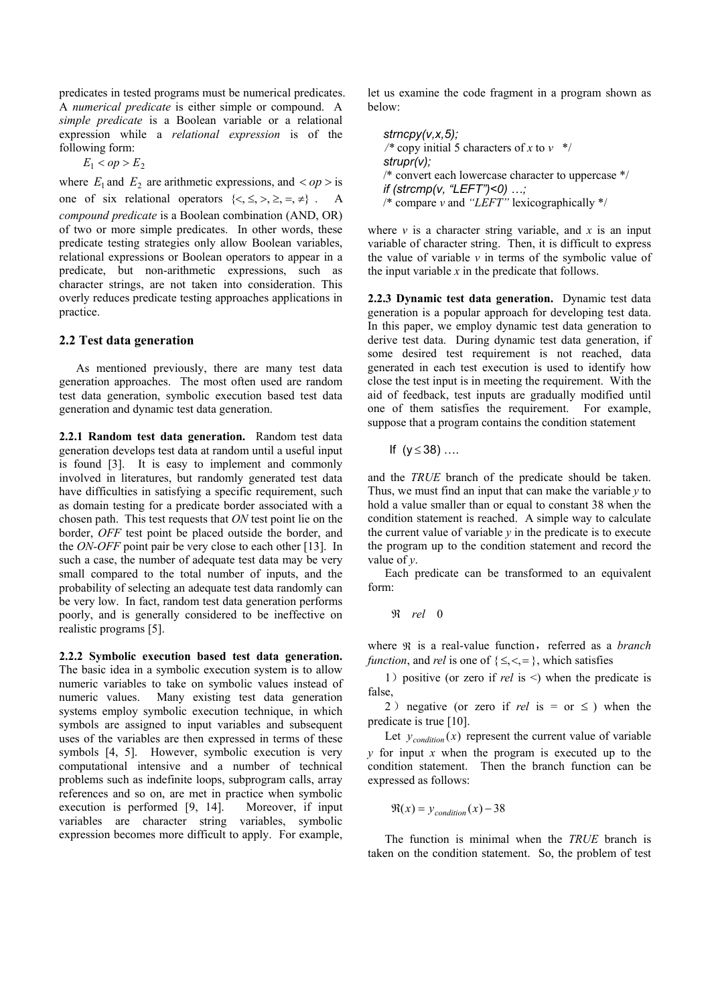predicates in tested programs must be numerical predicates. A *numerical predicate* is either simple or compound. A *simple predicate* is a Boolean variable or a relational expression while a *relational expression* is of the following form:

$$
E_1 < op > E_2
$$

where  $E_1$  and  $E_2$  are arithmetic expressions, and  $\langle op \rangle$  is one of six relational operators  $\{<,\leq,>,\geq,=,\neq\}$ . A *compound predicate* is a Boolean combination (AND, OR) of two or more simple predicates. In other words, these predicate testing strategies only allow Boolean variables, relational expressions or Boolean operators to appear in a predicate, but non-arithmetic expressions, such as character strings, are not taken into consideration. This overly reduces predicate testing approaches applications in practice.

#### **2.2 Test data generation**

As mentioned previously, there are many test data generation approaches. The most often used are random test data generation, symbolic execution based test data generation and dynamic test data generation.

**2.2.1 Random test data generation.** Random test data generation develops test data at random until a useful input is found [3]. It is easy to implement and commonly involved in literatures, but randomly generated test data have difficulties in satisfying a specific requirement, such as domain testing for a predicate border associated with a chosen path. This test requests that *ON* test point lie on the border, *OFF* test point be placed outside the border, and the *ON-OFF* point pair be very close to each other [13]. In such a case, the number of adequate test data may be very small compared to the total number of inputs, and the probability of selecting an adequate test data randomly can be very low. In fact, random test data generation performs poorly, and is generally considered to be ineffective on realistic programs [5].

**2.2.2 Symbolic execution based test data generation.**  The basic idea in a symbolic execution system is to allow numeric variables to take on symbolic values instead of numeric values. Many existing test data generation systems employ symbolic execution technique, in which symbols are assigned to input variables and subsequent uses of the variables are then expressed in terms of these symbols [4, 5]. However, symbolic execution is very computational intensive and a number of technical problems such as indefinite loops, subprogram calls, array references and so on, are met in practice when symbolic execution is performed [9, 14]. Moreover, if input variables are character string variables, symbolic expression becomes more difficult to apply. For example,

let us examine the code fragment in a program shown as below:

```
strncpy(v,x,5);
/* copy initial 5 characters of x to v */
strupr(v); 
/* convert each lowercase character to uppercase */ 
if (strcmp(v, "LEFT")<0) …;
/* compare v and "LEFT" lexicographically */
```
where  $\nu$  is a character string variable, and  $x$  is an input variable of character string. Then, it is difficult to express the value of variable  $\nu$  in terms of the symbolic value of the input variable *x* in the predicate that follows.

**2.2.3 Dynamic test data generation.** Dynamic test data generation is a popular approach for developing test data. In this paper, we employ dynamic test data generation to derive test data. During dynamic test data generation, if some desired test requirement is not reached, data generated in each test execution is used to identify how close the test input is in meeting the requirement. With the aid of feedback, test inputs are gradually modified until one of them satisfies the requirement. For example, suppose that a program contains the condition statement

If 
$$
(y \leq 38) \ldots
$$

and the *TRUE* branch of the predicate should be taken. Thus, we must find an input that can make the variable  $\nu$  to hold a value smaller than or equal to constant 38 when the condition statement is reached. A simple way to calculate the current value of variable  $\nu$  in the predicate is to execute the program up to the condition statement and record the value of *y*.

Each predicate can be transformed to an equivalent form:

ℜ *rel* 0

where  $\Re$  is a real-value function, referred as a *branch function*, and *rel* is one of  $\{\leq, <, =\}$ , which satisfies

1) positive (or zero if *rel* is  $\leq$ ) when the predicate is false,

2) negative (or zero if *rel* is = or  $\leq$ ) when the predicate is true [10].

Let  $y_{condition}(x)$  represent the current value of variable *y* for input *x* when the program is executed up to the condition statement. Then the branch function can be expressed as follows:

$$
\Re(x) = y_{condition}(x) - 38
$$

The function is minimal when the *TRUE* branch is taken on the condition statement. So, the problem of test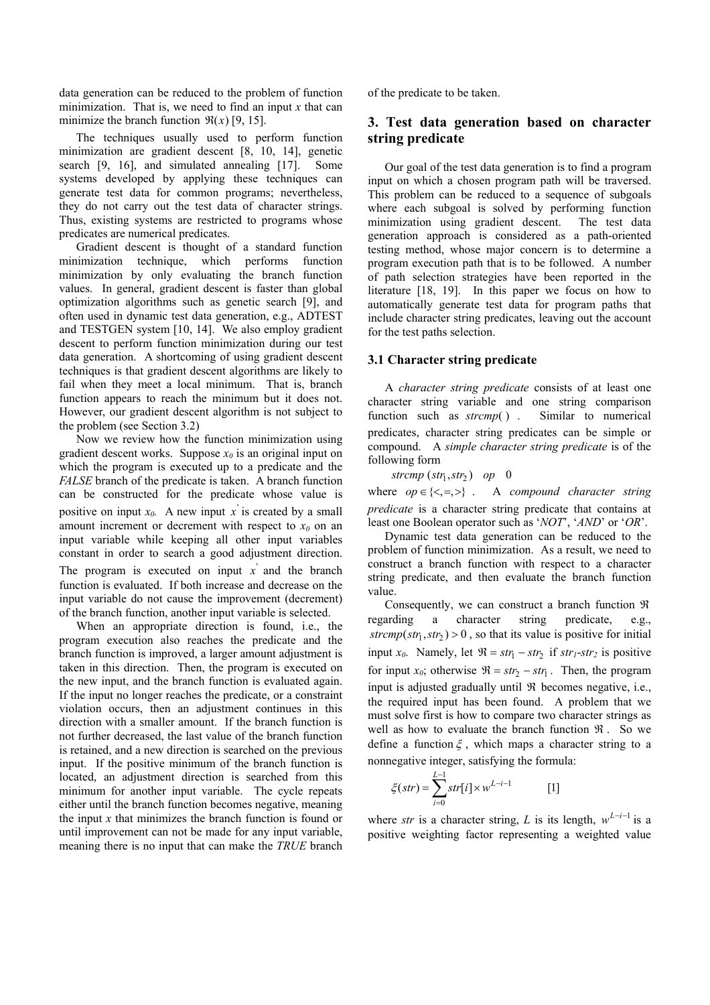data generation can be reduced to the problem of function minimization. That is, we need to find an input *x* that can minimize the branch function  $\mathfrak{R}(x)$  [9, 15].

The techniques usually used to perform function minimization are gradient descent [8, 10, 14], genetic search [9, 16], and simulated annealing [17]. Some systems developed by applying these techniques can generate test data for common programs; nevertheless, they do not carry out the test data of character strings. Thus, existing systems are restricted to programs whose predicates are numerical predicates.

Gradient descent is thought of a standard function minimization technique, which performs function minimization by only evaluating the branch function values. In general, gradient descent is faster than global optimization algorithms such as genetic search [9], and often used in dynamic test data generation, e.g., ADTEST and TESTGEN system [10, 14]. We also employ gradient descent to perform function minimization during our test data generation. A shortcoming of using gradient descent techniques is that gradient descent algorithms are likely to fail when they meet a local minimum. That is, branch function appears to reach the minimum but it does not. However, our gradient descent algorithm is not subject to the problem (see Section 3.2)

Now we review how the function minimization using gradient descent works. Suppose  $x_0$  is an original input on which the program is executed up to a predicate and the *FALSE* branch of the predicate is taken. A branch function can be constructed for the predicate whose value is positive on input  $x_0$ . A new input x is created by a small amount increment or decrement with respect to  $x_0$  on an input variable while keeping all other input variables constant in order to search a good adjustment direction. The program is executed on input  $x'$  and the branch function is evaluated. If both increase and decrease on the input variable do not cause the improvement (decrement) of the branch function, another input variable is selected.

When an appropriate direction is found, i.e., the program execution also reaches the predicate and the branch function is improved, a larger amount adjustment is taken in this direction. Then, the program is executed on the new input, and the branch function is evaluated again. If the input no longer reaches the predicate, or a constraint violation occurs, then an adjustment continues in this direction with a smaller amount. If the branch function is not further decreased, the last value of the branch function is retained, and a new direction is searched on the previous input. If the positive minimum of the branch function is located, an adjustment direction is searched from this minimum for another input variable. The cycle repeats either until the branch function becomes negative, meaning the input  $x$  that minimizes the branch function is found or until improvement can not be made for any input variable, meaning there is no input that can make the *TRUE* branch

of the predicate to be taken.

# **3. Test data generation based on character string predicate**

Our goal of the test data generation is to find a program input on which a chosen program path will be traversed. This problem can be reduced to a sequence of subgoals where each subgoal is solved by performing function minimization using gradient descent. The test data generation approach is considered as a path-oriented testing method, whose major concern is to determine a program execution path that is to be followed. A number of path selection strategies have been reported in the literature [18, 19]. In this paper we focus on how to automatically generate test data for program paths that include character string predicates, leaving out the account for the test paths selection.

# **3.1 Character string predicate**

A *character string predicate* consists of at least one character string variable and one string comparison function such as *strcmp*(). Similar to numerical predicates, character string predicates can be simple or compound. A *simple character string predicate* is of the following form

#### *strcmp*  $(str_1, str_2)$  *op* 0

where  $op \in \{<, =, >\}$ . A *compound character string predicate* is a character string predicate that contains at least one Boolean operator such as '*NOT*', '*AND*' or '*OR*'.

Dynamic test data generation can be reduced to the problem of function minimization. As a result, we need to construct a branch function with respect to a character string predicate, and then evaluate the branch function value.

Consequently, we can construct a branch function ℜ regarding a character string predicate, e.g.,  $\textit{stremp}(\textit{str}_1, \textit{str}_2) > 0$ , so that its value is positive for initial input  $x_0$ . Namely, let  $\Re = str_1 - str_2$  if  $str_1$ - $str_2$  is positive for input  $x_0$ ; otherwise  $\Re = str_2 - str_1$ . Then, the program input is adjusted gradually until  $\Re$  becomes negative, i.e., the required input has been found. A problem that we must solve first is how to compare two character strings as well as how to evaluate the branch function  $\Re$ . So we define a function  $\xi$ , which maps a character string to a nonnegative integer, satisfying the formula:

$$
\xi(str) = \sum_{i=0}^{L-1} str[i] \times w^{L-i-1} \tag{1}
$$

where *str* is a character string, *L* is its length,  $w^{L-i-1}$  is a positive weighting factor representing a weighted value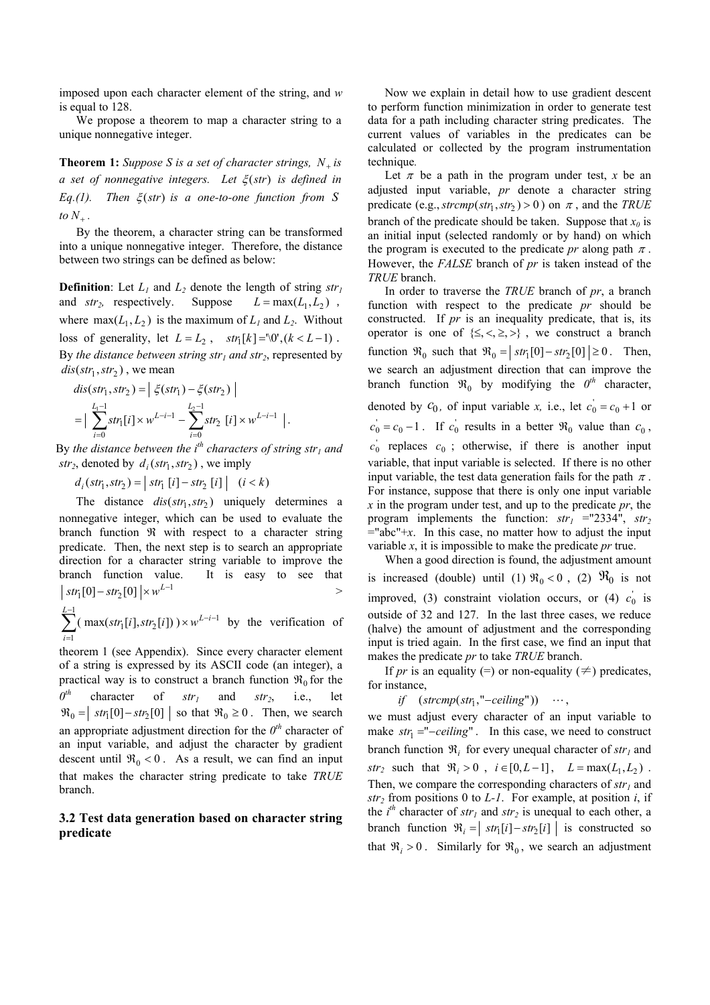imposed upon each character element of the string, and *w* is equal to 128.

We propose a theorem to map a character string to a unique nonnegative integer.

**Theorem 1:** *Suppose S is a set of character strings,*  $N_+$  *is a set of nonnegative integers. Let*  ξ (*str*) *is defined in*  $Eq.(1)$ . *Then*  $\xi(str)$  *is a one-to-one function from S to*  $N_+$ .

By the theorem, a character string can be transformed into a unique nonnegative integer. Therefore, the distance between two strings can be defined as below:

**Definition**: Let  $L_1$  and  $L_2$  denote the length of string  $str_1$ and *str<sub>2</sub>*, respectively. Suppose where  $max(L_1, L_2)$  is the maximum of  $L_1$  and  $L_2$ . Without  $L = max(L_1, L_2)$ , loss of generality, let  $L = L_2$ ,  $str_1[k] = \sqrt{0}$ ,  $(k < L - 1)$ . By *the distance between string str<sub>1</sub> and str<sub>2</sub>, represented by*  $dis(str_1, str_2)$ , we mean

$$
dis(str_1, str_2) = \left| \xi(str_1) - \xi(str_2) \right|
$$
  
= 
$$
\left| \sum_{i=0}^{L_1-1} str_1[i] \times w^{L-i-1} - \sum_{i=0}^{L_2-1} str_2[i] \times w^{L-i-1} \right|.
$$

By the distance between the i<sup>th</sup> characters of string str<sub>1</sub> and *str*<sub>2</sub>, denoted by  $d_i(str_1, str_2)$ , we imply

 $d_i (str_1, str_2) = | str_1[i] - str_2[i] | (i < k)$ 

The distance  $dis(str_1, str_2)$  uniquely determines a nonnegative integer, which can be used to evaluate the branch function  $\Re$  with respect to a character string predicate. Then, the next step is to search an appropriate direction for a character string variable to improve the branch function value. It is easy to see that  $str_1[0] - str_2[0] \sim w^{L-1}$  $\rightarrow$ 

 $\int_{0}^{1}$  ( max(*str*<sub>1</sub>[*i*], *str*<sub>2</sub>[*i*]) ) × *w*<sup>*L*-*i*-1</sup> 1  $\left( \, \max(str_i[i], \, \right)$ −  $\sum_{i=1}^{L-1}$ *i*  $str_1[i], str_2[i])$ ) ×  $w^{L-l-1}$  by the verification of

theorem 1 (see Appendix). Since every character element of a string is expressed by its ASCII code (an integer), a practical way is to construct a branch function  $\Re_0$  for the  $0^{th}$  character of *str<sub>1</sub>* and *str<sub>2</sub>*, i.e., let  $\mathfrak{R}_0 = |str_1[0] - str_2[0]|$  so that  $\mathfrak{R}_0 \ge 0$ . Then, we search an appropriate adjustment direction for the  $0<sup>th</sup>$  character of an input variable, and adjust the character by gradient descent until  $\Re_0 < 0$ . As a result, we can find an input that makes the character string predicate to take *TRUE* branch.

# **3.2 Test data generation based on character string predicate**

Now we explain in detail how to use gradient descent to perform function minimization in order to generate test data for a path including character string predicates. The current values of variables in the predicates can be calculated or collected by the program instrumentation technique*.* 

Let  $\pi$  be a path in the program under test,  $x$  be an adjusted input variable, *pr* denote a character string predicate (e.g.,  $\text{stremp}(\text{str}_1, \text{str}_2) > 0$ ) on  $\pi$ , and the *TRUE* branch of the predicate should be taken. Suppose that  $x_0$  is an initial input (selected randomly or by hand) on which the program is executed to the predicate  $pr$  along path  $\pi$ . However, the *FALSE* branch of *pr* is taken instead of the *TRUE* branch.

In order to traverse the *TRUE* branch of *pr*, a branch function with respect to the predicate *pr* should be constructed. If *pr* is an inequality predicate, that is, its operator is one of  $\{\leq, <, \geq, >\}$ , we construct a branch function  $\mathfrak{R}_0$  such that  $\mathfrak{R}_0 = |str_1[0] - str_2[0]| \ge 0$ . Then, branch function  $\mathfrak{R}_0$  by modifying the  $0^{th}$  character, we search an adjustment direction that can improve the denoted by  $c_0$ , of input variable *x*, i.e., let  $c_0 = c_0 + 1$  or  $c_0 = c_0 - 1$ . If  $c_0$  results in a better  $\Re_0$  value than  $c_0$ ,  $c_0$  replaces  $c_0$ ; otherwise, if there is another input variable, that input variable is selected. If there is no other input variable, the test data generation fails for the path  $\pi$ . For instance, suppose that there is only one input variable *x* in the program under test, and up to the predicate *pr*, the program implements the function:  $str_1$  ="2334",  $str_2$  $=$ "abc"+x. In this case, no matter how to adjust the input variable *x*, it is impossible to make the predicate *pr* true.

When a good direction is found, the adjustment amount is increased (double) until (1)  $\Re_0 < 0$ , (2)  $\Re_0$  is not improved, (3) constraint violation occurs, or (4)  $c_0$  is outside of 32 and 127. In the last three cases, we reduce (halve) the amount of adjustment and the corresponding input is tried again. In the first case, we find an input that makes the predicate *pr* to take *TRUE* branch.

If *pr* is an equality (=) or non-equality ( $\neq$ ) predicates, for instance,

*if*  $(strmp(str_1, "-ceiling"))$  …,

we must adjust every character of an input variable to make  $str_1 = "-ceiling"$ . In this case, we need to construct branch function  $\mathfrak{R}_i$  for every unequal character of  $str_1$  and *str*<sub>2</sub> such that  $\Re_i > 0$ ,  $i \in [0, L-1]$ ,  $L = \max(L_1, L_2)$ . Then, we compare the corresponding characters of  $str<sub>1</sub>$  and  $str<sub>2</sub>$  from positions 0 to *L-1*. For example, at position *i*, if the  $i^{th}$  character of  $str_1$  and  $str_2$  is unequal to each other, a branch function  $\Re_i = \left| \frac{str_1[i] - str_2[i]}{\right|} \right|$  is constructed so that  $\Re_i > 0$ . Similarly for  $\Re_0$ , we search an adjustment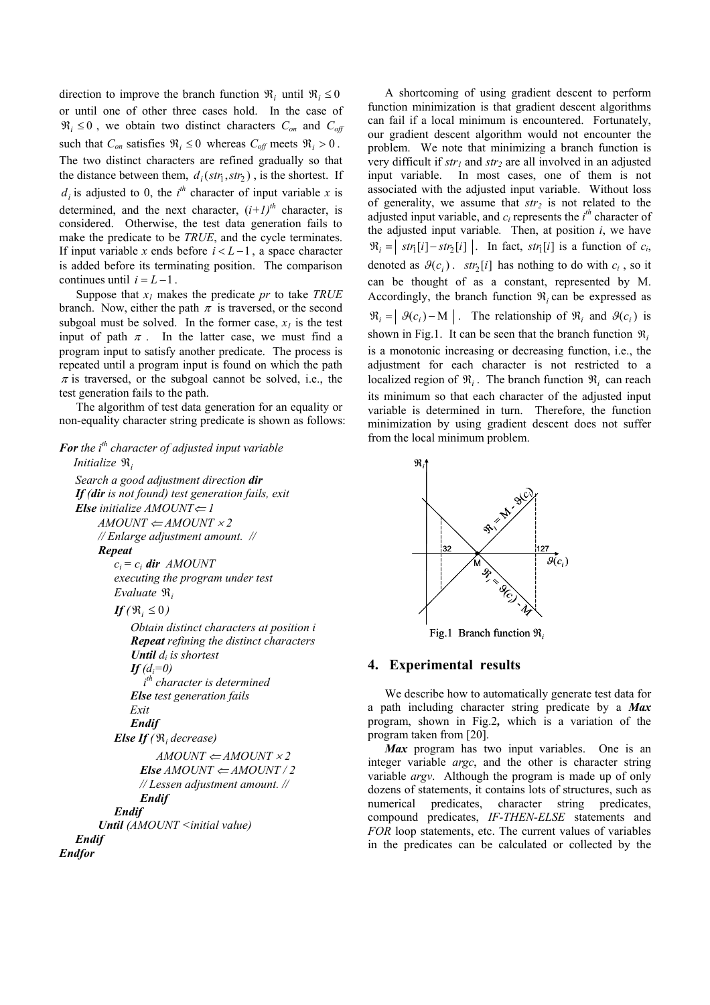direction to improve the branch function  $\Re_i$  until  $\Re_i \leq 0$ such that  $C_{on}$  satisfies  $\Re_i \leq 0$  whereas  $C_{off}$  meets  $\Re_i > 0$ . or until one of other three cases hold. In the case of  $\mathfrak{R}_i \leq 0$ , we obtain two distinct characters  $C_{on}$  and  $C_{off}$ The two distinct characters are refined gradually so that the distance between them,  $d_i(str_1, str_2)$ , is the shortest. If  $d_i$  is adjusted to 0, the  $i^h$  character of input variable *x* is If input variable *x* ends before  $i < L-1$ , a space character determined, and the next character,  $(i+1)^{th}$  character, is considered. Otherwise, the test data generation fails to make the predicate to be *TRUE*, and the cycle terminates. is added before its terminating position. The comparison continues until  $i = L - 1$ .

branch. Now, either the path  $\pi$  is traversed, or the second input of path  $\pi$ . In the latter case, we must find a  $\pi$  is traversed, or the subgoal cannot be solved, i.e., the Suppose that *x1* makes the predicate *pr* to take *TRUE* subgoal must be solved. In the former case,  $x_i$  is the test program input to satisfy another predicate. The process is repeated until a program input is found on which the path test generation fails to the path.

The algorithm of test data generation for an equality or non-equality character string predicate is shown as follows:



```
i
Initialize ℜ
             \textit{If } (\Re_i \leq 0)ℜi
Evaluate 
            Else If (\Rei decrease)
   Search a good adjustment direction dir 
   If (dir is not found) test generation fails, exit
   Else initialize AMOUNT \leftarrow IAMOUNT \leftarrow AMOUNT \times 2// Enlarge adjustment amount. // 
        Repeat 
            c_i = c_i dir AMOUNT
            executing the program under test 
                Obtain distinct characters at position i 
                Repeat refining the distinct characters 
                Until d_i is shortest If (d_i=0)i
th character is determined 
                Else test generation fails 
                Exit 
                 Endif 
                      AMOUNT \leftarrow AMOUNT \times 2Else AMOUNT \rightleftharpoons AMOUNT/2// Lessen adjustment amount. // 
                  Endif 
            Endif
         Until (AMOUNT <initial value)
   Endif 
Endfor
```
A shortcoming of using gradient descent to perform function minimization is that gradient descent algorithms can fail if a local minimum is encountered. Fortunately, our gradient descent algorithm would not encounter the problem. We note that minimizing a branch function is very difficult if  $str_1$  and  $str_2$  are all involved in an adjusted input variable. In most cases, one of them is not In most cases, one of them is not associated with the adjusted input variable. Without loss of generality, we assume that  $str<sub>2</sub>$  is not related to the adjusted input variable, and  $c_i$  represents the  $i<sup>th</sup>$  character of the adjusted input variable*.* Then, at position *i*, we have  $\mathcal{R}_i = \left| \text{ str}_i[i] - \text{str}_2[i] \right|$ . In fact,  $\text{str}_i[i]$  is a function of  $c_i$ , denoted as  $\mathcal{G}(c_i)$ .  $str_2[i]$  has nothing to do with  $c_i$ , so it can be thought of as a constant, represented by M. Accordingly, the branch function  $\Re$  can be expressed as  $\mathfrak{R}_i = \mathfrak{g}(c_i) - M \mathfrak{g}(c_i)$ . The relationship of  $\mathfrak{R}_i$  and  $\mathfrak{g}(c_i)$  is shown in Fig.1. It can be seen that the branch function ℜ*<sup>i</sup>* is a monotonic increasing or decreasing function, i.e., the adjustment for each character is not restricted to a localized region of  $\mathfrak{R}_i$ . The branch function  $\mathfrak{R}_i$  can reach its minimum so that each character of the adjusted input variable is determined in turn. Therefore, the function minimization by using gradient descent does not suffer from the local minimum problem.



Fig.1 Branch function ℜ*<sup>i</sup>*

# **4. Experimental results** *If (di=0)*

We describe how to automatically generate test data for a path including character string predicate by a *Max* program, shown in Fig.2*,* which is a variation of the program taken from [20].

*Max* program has two input variables. One is an integer variable *argc*, and the other is character string variable *argv*. Although the program is made up of only dozens of statements, it contains lots of structures, such as numerical predicates, character string predicates, compound predicates, *IF-THEN-ELSE* statements and *FOR* loop statements, etc. The current values of variables in the predicates can be calculated or collected by the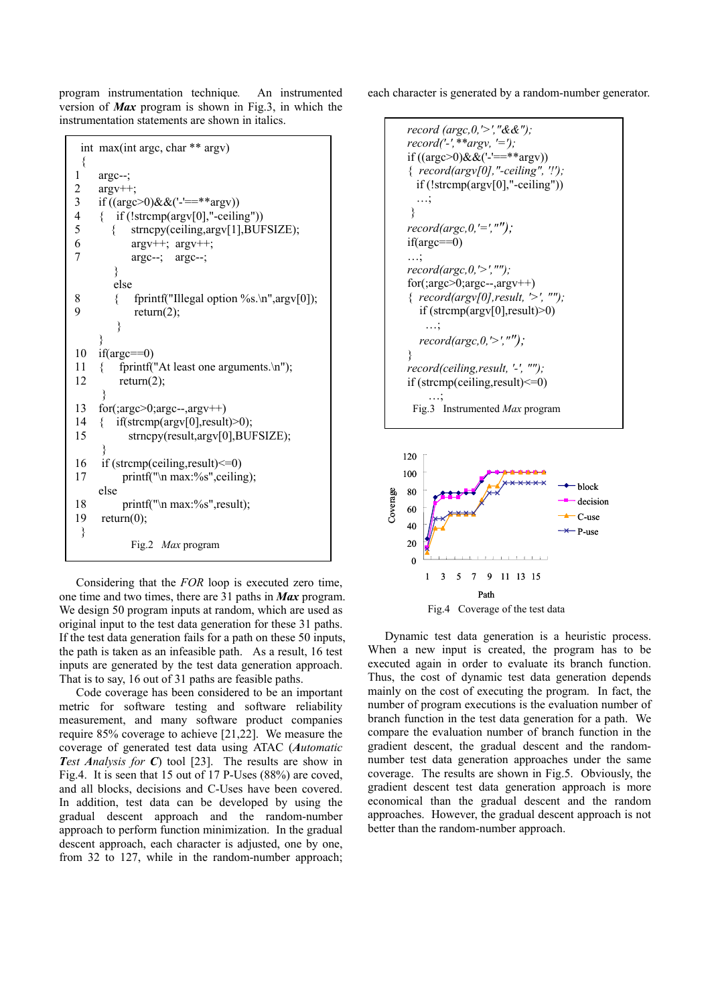program instrumentation technique*.* An instrumented version of *Max* program is shown in Fig.3, in which the instrumentation statements are shown in italics.

```
int max(int argc, char ** argv) 
 { 
1 argc--;
2 \arg y++;
3 if ((\arg c > 0) \& \& ('='==^* \arg v))<br>4 \{ \text{ if } (\text{1strem}(\arg v \{0\}) \text{ --ceil}) \}4 { if (!strcmp(argv[0],"-ceiling"))<br>5 { strncpy(ceiling.argv[1],BUF
              strncpy(ceiling,argv[1],BUFSIZE);
6 argv++; \argv++;
7 \quad \text{argc--}; \quad \text{argc--}; } 
           else 
8 { fprintf("Illegal option %s.\n",argv[0]);
9 return(2); 
\longrightarrow\qquad \qquad \}10 if(argc==0)
11 { fprintf("At least one arguments.\n"); 
12 return(2);
\left\{\begin{array}{cc} \end{array}\right\}13 for(;\arg c > 0;\arg c = \arg c++1)
14 { if(strcmp(argv[0],result)>0); 
15 strncpy(result,argv[0],BUFSIZE); 
\left\{\begin{array}{cc} \end{array}\right\}16 if (strcmp(ceiling,result)<=0) 
17 printf("\n max:%s",ceiling);
       else 
18 printf("\n max:%s",result);
19 return(0); 
 } 
               Fig.2 Max program
```
Considering that the *FOR* loop is executed zero time, one time and two times, there are 31 paths in *Max* program. We design 50 program inputs at random, which are used as original input to the test data generation for these 31 paths. If the test data generation fails for a path on these 50 inputs, the path is taken as an infeasible path. As a result, 16 test inputs are generated by the test data generation approach. That is to say, 16 out of 31 paths are feasible paths.

Code coverage has been considered to be an important metric for software testing and software reliability measurement, and many software product companies require 85% coverage to achieve [21,22]. We measure the coverage of generated test data using ATAC (*Automatic Test Analysis for C*) tool [23]. The results are show in Fig.4. It is seen that 15 out of 17 P-Uses (88%) are coved, and all blocks, decisions and C-Uses have been covered. In addition, test data can be developed by using the gradual descent approach and the random-number approach to perform function minimization. In the gradual descent approach, each character is adjusted, one by one, from 32 to 127, while in the random-number approach;

each character is generated by a random-number generator.





Dynamic test data generation is a heuristic process. When a new input is created, the program has to be executed again in order to evaluate its branch function. Thus, the cost of dynamic test data generation depends mainly on the cost of executing the program. In fact, the number of program executions is the evaluation number of branch function in the test data generation for a path. We compare the evaluation number of branch function in the gradient descent, the gradual descent and the randomnumber test data generation approaches under the same coverage. The results are shown in Fig.5. Obviously, the gradient descent test data generation approach is more economical than the gradual descent and the random approaches. However, the gradual descent approach is not better than the random-number approach.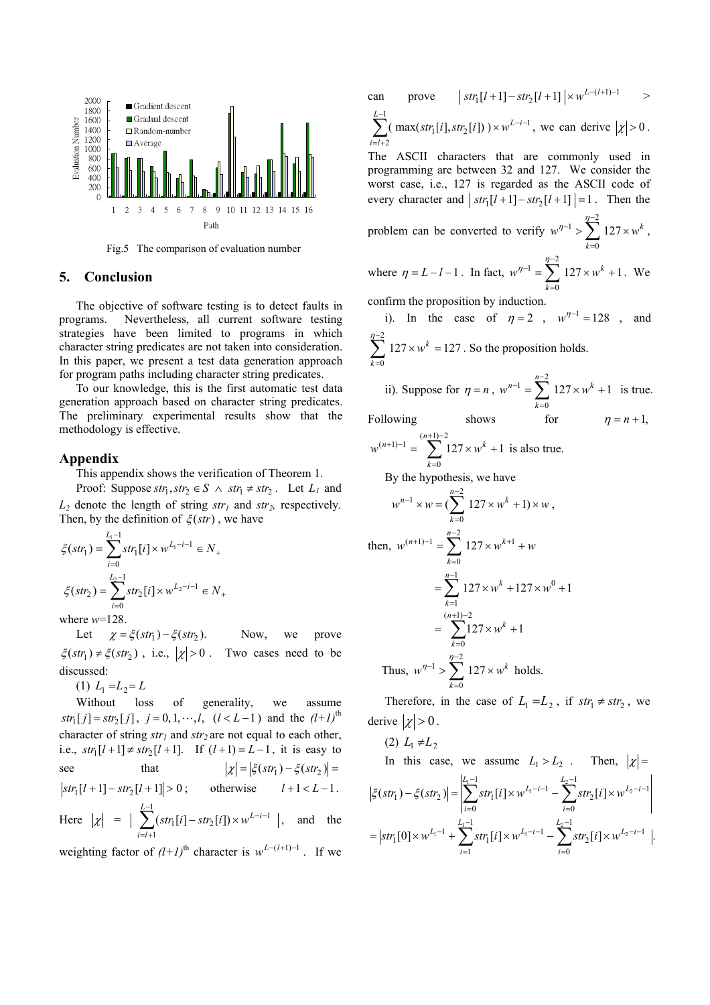

Fig.5 The comparison of evaluation number

#### **5. Conclusion**

The objective of software testing is to detect faults in programs. Nevertheless, all current software testing strategies have been limited to programs in which character string predicates are not taken into consideration. In this paper, we present a test data generation approach for program paths including character string predicates.

To our knowledge, this is the first automatic test data generation approach based on character string predicates. The preliminary experimental results show that the methodology is effective.

#### **Appendix**

This appendix shows the verification of Theorem 1.

Proof: Suppose  $str_1, str_2 \in S \land str_1 \neq str_2$ . Let  $L_1$  and  $L_2$  denote the length of string  $str_1$  and  $str_2$ , respectively. Then, by the definition of  $\xi(str)$ , we have

$$
\xi(str_1) = \sum_{i=0}^{L_1-1} str_1[i] \times w^{L_1-i-1} \in N_+
$$

$$
\xi(str_2) = \sum_{i=0}^{L_2-1} str_2[i] \times w^{L_2-i-1} \in N_+
$$

where *w*=128.

Let  $\gamma = \xi (str_1) - \xi (str_2)$ .  $\xi(str_1) \neq \xi(str_2)$ , i.e.,  $|\chi| > 0$ . Two cases need to be Now, we prove discussed:

(1)  $L_1 = L_2 = L$ 

Without loss of generality, we assume  $str_1[j] = str_2[j], j = 0, 1, \dots, l, (l < L-1)$  and the  $(l+1)$ <sup>th</sup> i.e.,  $str_1[l+1] \neq str_2[l+1]$ . If  $(l+1) = L-1$ , it is easy to character of string  $str_1$  and  $str_2$  are not equal to each other, see that  $|\chi| = |\xi(str_1) - \xi(str_2)| =$  $|str_1[l+1] - str_2[l+1]| > 0$ ; otherwise  $l+1 < L-1$ . Here  $|\chi| = |\sum_{i=1}^{L-1} (str_1[i] - str_2[i]) \times w^{L-i-1}|,$ weighting factor of  $(l+1)$ <sup>th</sup> character is  $w^{L-(l+1)-1}$ . If we 1 1 −  $\sum_{i=l+1}^{L-1} (str_1[i]$ *l*  $str_1[i] - str_2[i] \times w^{L-i-1}$ *i* and the

can prove  $\left| str_1[l+1] - str_2[l+1] \right| \times w^{L-(l+1)-1}$  $str_2[i])$ ) ×  $w^{L-i-1}$ , we can derive > 1 2  $\left( \, \max(str_i[i], \, \right)$ − ∑ *L*  $=l+$  $i = l$  $str_1[i], str_2[i])$   $\times w^{L-i-1}$ , we can derive  $|\chi| > 0$ .

The ASCII characters that are commonly used in programming are between 32 and 127. We consider the worst case, i.e., 127 is regarded as the ASCII code of every character and  $\left| str_1[l+1] - str_2[l+1] \right| = 1$ . Then the

 $>\sum_{k=0}^{\eta-2}$ =  $-1$   $\sum_{ }^{ } \frac{\eta -2}{ }$ 0 problem can be converted to verify  $w^{\eta-1} > \sum_{n=1}^{\infty} 127 \times w^k$ ,

where  $\eta = L - l - 1$ . In fact,  $w^{\eta - 1} = \sum_{k=1}^{\eta - 2} 127 \times w^k + 1$ . We  $=\sum_{k=0}^{\eta-2} 127 \times$ *k*=  $w^{\eta-1} = \sum_{n=1}^{\infty} 127 \times w^n$ 

confirm the proposition by induction.

i). In the case of  $\eta = 2$ ,  $w^{\eta-1} = 128$ , and  $127 \times w^k = 127$ 2  $\sum_{k=0}^{\eta-2} 127 \times w^k =$ = *k k*  $\sum_{k=1}^{n-2} 127 \times w^k = 127$ . So the proposition holds.

 $\eta = n$ ,  $w^{n-1} = \sum 127 \times w^{k} + 1$ 2  $\sum_{k=0}^{n-2} 127 \times$ =  $\sum_{n=2}^{n-2}$  127  $\ldots$ <sup>k</sup> *k* ii). Suppose for  $\eta = n$ ,  $w^{n-1} = \sum 127 \times w^k + 1$  is true.

1,

 $\eta = n +$ 

Following shows for

$$
w^{(n+1)-1} = \sum_{k=0}^{(n+1)-2} 127 \times w^k + 1
$$
 is also true.

By the hypothesis, we have

$$
w^{n-1} \times w = \left(\sum_{k=0}^{n-2} 127 \times w^k + 1\right) \times w,
$$
  
then, 
$$
w^{(n+1)-1} = \sum_{k=0}^{n-2} 127 \times w^{k+1} + w
$$

$$
= \sum_{k=1}^{n-1} 127 \times w^k + 127 \times w^0 + 1
$$

$$
= \sum_{k=0}^{(n+1)-2} 127 \times w^k + 1
$$
Thus, 
$$
w^{n-1} > \sum_{k=0}^{n-2} 127 \times w^k
$$
 holds.

Therefore, in the case of  $L_1 = L_2$ , if  $str_1 \neq str_2$ , we derive  $|\chi| > 0$ .

(2) 
$$
L_1 \neq L_2
$$
  
\nIn this case, we assume  $L_1 > L_2$ . Then,  $|\chi| = |\xi(str_1) - \xi(str_2)| = \left| \sum_{i=0}^{L_1-1} str_1[i] \times w^{L_1-i-1} - \sum_{i=0}^{L_2-1} str_2[i] \times w^{L_2-i-1} \right|$   
\n
$$
= |str_1[0] \times w^{L_1-1} + \sum_{i=1}^{L_1-1} str_1[i] \times w^{L_1-i-1} - \sum_{i=0}^{L_2-1} str_2[i] \times w^{L_2-i-1} |.
$$